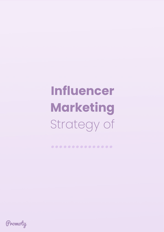# **Influencer Marketing** Strategy of

Promoty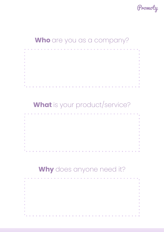

#### **Who** are you as a company?



# **What** is your product/service?

| $\overline{\phantom{a}}$ |  |  |  |  |  |  |  |  |  |  |  |  |  |  |  |  | г |
|--------------------------|--|--|--|--|--|--|--|--|--|--|--|--|--|--|--|--|---|
| ×                        |  |  |  |  |  |  |  |  |  |  |  |  |  |  |  |  |   |
| $\overline{\phantom{a}}$ |  |  |  |  |  |  |  |  |  |  |  |  |  |  |  |  |   |
| $\overline{\phantom{a}}$ |  |  |  |  |  |  |  |  |  |  |  |  |  |  |  |  |   |
| $\overline{\phantom{a}}$ |  |  |  |  |  |  |  |  |  |  |  |  |  |  |  |  |   |
| ×                        |  |  |  |  |  |  |  |  |  |  |  |  |  |  |  |  |   |
| $\overline{\phantom{a}}$ |  |  |  |  |  |  |  |  |  |  |  |  |  |  |  |  |   |
| $\overline{\phantom{a}}$ |  |  |  |  |  |  |  |  |  |  |  |  |  |  |  |  |   |
| ×                        |  |  |  |  |  |  |  |  |  |  |  |  |  |  |  |  |   |
| ×                        |  |  |  |  |  |  |  |  |  |  |  |  |  |  |  |  |   |
| a.                       |  |  |  |  |  |  |  |  |  |  |  |  |  |  |  |  |   |

# **Why** does anyone need it?

|                        |   |  |                   |                 |                 |                 |                 |  |  |   |                   |                   |                          |                   |              |                 |                   | $\sim$          | $\sim$       |           | <b>College</b> | <b>Contract Contract Contract</b> |                  |   | <b>Contract Contract</b> |   |                          | <b>COL</b>   |
|------------------------|---|--|-------------------|-----------------|-----------------|-----------------|-----------------|--|--|---|-------------------|-------------------|--------------------------|-------------------|--------------|-----------------|-------------------|-----------------|--------------|-----------|----------------|-----------------------------------|------------------|---|--------------------------|---|--------------------------|--------------|
| $\sim$                 |   |  |                   |                 |                 |                 |                 |  |  |   |                   |                   |                          |                   |              |                 |                   |                 |              |           |                |                                   |                  |   |                          |   |                          |              |
| $\sim$                 |   |  |                   |                 |                 |                 |                 |  |  |   |                   |                   |                          |                   |              |                 |                   |                 |              |           |                |                                   |                  |   |                          |   |                          | ×            |
| $\sim$                 |   |  |                   |                 |                 |                 |                 |  |  |   |                   |                   |                          |                   |              |                 |                   |                 |              |           |                |                                   |                  |   |                          |   |                          | ×            |
| $\sim$                 |   |  |                   |                 |                 |                 |                 |  |  |   |                   |                   |                          |                   |              |                 |                   |                 |              |           |                |                                   |                  |   |                          |   |                          | $\mathbf{r}$ |
| $\sim$                 |   |  |                   |                 |                 |                 |                 |  |  |   |                   |                   |                          |                   |              |                 |                   |                 |              |           |                |                                   |                  |   |                          |   |                          | ×<br>×       |
| $\sim$                 |   |  |                   |                 |                 |                 |                 |  |  |   |                   |                   |                          |                   |              |                 |                   |                 |              |           |                |                                   |                  |   |                          |   |                          |              |
| $\sim$                 |   |  |                   |                 |                 |                 |                 |  |  |   |                   |                   |                          |                   |              |                 |                   |                 |              |           |                |                                   |                  |   |                          |   |                          | ×            |
| $\sim$                 |   |  |                   |                 |                 |                 |                 |  |  |   |                   |                   |                          |                   |              |                 |                   |                 |              |           |                |                                   |                  |   |                          |   |                          | ×<br>×       |
| $\sim$                 |   |  |                   |                 |                 |                 |                 |  |  |   |                   |                   |                          |                   |              |                 |                   |                 |              |           |                |                                   |                  |   |                          |   |                          | ×            |
| $\sim$                 |   |  |                   |                 |                 |                 |                 |  |  |   |                   |                   |                          |                   |              |                 |                   |                 |              |           |                |                                   |                  |   |                          |   |                          | m.           |
| $\sim$<br><b>STATE</b> | . |  | <b>CONTRACTOR</b> | <b>Contract</b> | <b>Contract</b> | <b>Contract</b> | <b>Contract</b> |  |  | . | <b>Contractor</b> | <b>Contractor</b> | <b>Contract Contract</b> | <b>Contractor</b> | <b>STATE</b> | <b>Contract</b> | <b>Contractor</b> | <b>Contract</b> | <b>STATE</b> | <b>In</b> |                |                                   | <b>The State</b> | m |                          | m | <b>Contract Contract</b> |              |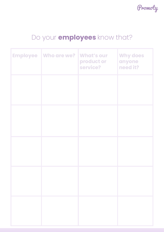

# Do your **employees** know that?

| <b>Employee   Who are we?</b> | <b>What's our</b><br>product or<br>service? | <b>Why does</b><br>anyone<br>need it? |
|-------------------------------|---------------------------------------------|---------------------------------------|
|                               |                                             |                                       |
|                               |                                             |                                       |
|                               |                                             |                                       |
|                               |                                             |                                       |
|                               |                                             |                                       |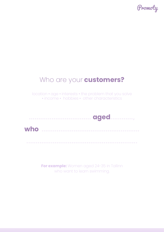

#### Who are your **customers?**

location • age • interests • the problem that you solve • income • hobbies • other characteristics

**…………….…......…..... aged…………,**

**who ………………………………………….…**

**For example:** Women aged 24-35 in Tallinn who want to learn swimming.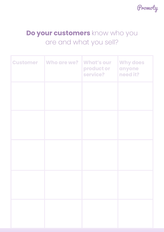

## **Do your customers** know who you are and what you sell?

| <b>Customer</b> Who are we? | <b>What's our</b><br>product or<br>service? | <b>Why does</b><br>anyone<br>need it? |
|-----------------------------|---------------------------------------------|---------------------------------------|
|                             |                                             |                                       |
|                             |                                             |                                       |
|                             |                                             |                                       |
|                             |                                             |                                       |
|                             |                                             |                                       |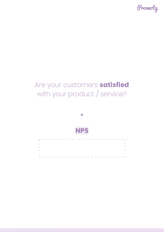

# Are your customers **satisfied**  with your product / service?



 $\alpha$ 

**Service** 

**•**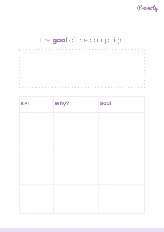

# The **goal** of the campaign:

| $\mathbf{u}$ |  |  |  |  |  |  |  |  |  |  |  |  |  |  |  |  |  | × |
|--------------|--|--|--|--|--|--|--|--|--|--|--|--|--|--|--|--|--|---|
| $\mathbf{u}$ |  |  |  |  |  |  |  |  |  |  |  |  |  |  |  |  |  | × |
| $\mathbf{u}$ |  |  |  |  |  |  |  |  |  |  |  |  |  |  |  |  |  | × |
| $\mathbf{u}$ |  |  |  |  |  |  |  |  |  |  |  |  |  |  |  |  |  | × |
| $\mathbf{u}$ |  |  |  |  |  |  |  |  |  |  |  |  |  |  |  |  |  | × |
| $\mathbf{u}$ |  |  |  |  |  |  |  |  |  |  |  |  |  |  |  |  |  | п |
| $\alpha$     |  |  |  |  |  |  |  |  |  |  |  |  |  |  |  |  |  | × |
| $\mathbf{u}$ |  |  |  |  |  |  |  |  |  |  |  |  |  |  |  |  |  | × |
| $\mathbf{u}$ |  |  |  |  |  |  |  |  |  |  |  |  |  |  |  |  |  | × |
| ×            |  |  |  |  |  |  |  |  |  |  |  |  |  |  |  |  |  | П |
|              |  |  |  |  |  |  |  |  |  |  |  |  |  |  |  |  |  |   |

| Why? | Goal |
|------|------|
|      |      |
|      |      |
|      |      |
|      |      |
|      |      |
|      |      |
|      |      |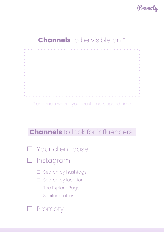

#### **Channels** to be visible on \*



\* channels where your customers spend time

#### **Channels** to look for influencers:

- ☐ Your client base
- Instagram
	- □ Search by hashtags
	- □ Search by location
	- □ The Explore Page
	- □ Similar profiles

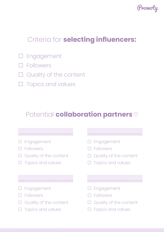

### Criteria for **selecting influencers:**

- ☐ Engagement
- ☐ Followers
- □ Quality of the content
- □ Topics and values

#### Potential **collaboration partners** ♡

| $\square$ Engagement          | $\square$ Engagement          |
|-------------------------------|-------------------------------|
| Followers                     | $\square$ Followers           |
| $\Box$ Quality of the content | $\Box$ Quality of the content |
| $\Box$ Topics and values      | $\Box$ Topics and values      |
| $\Box$ Engagement             | $\Box$ Engagement             |
| Followers                     | $\Box$ Followers              |
| Quality of the content        | $\Box$ Quality of the content |
| <b>Topics and values</b>      | <b>Topics and values</b>      |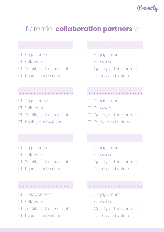

## Potential **collaboration partners** ♡

| Engagement<br><b>Followers</b><br>Quality of the content<br>Topics and values | $\square$ Engagement<br>Followers<br>$\Box$ Quality of the content<br><b>Topics and values</b>        |
|-------------------------------------------------------------------------------|-------------------------------------------------------------------------------------------------------|
|                                                                               |                                                                                                       |
| Engagement<br><b>Followers</b><br>Quality of the content<br>Topics and values | $\square$ Engagement<br>$\Box$ Followers<br>$\Box$ Quality of the content<br><b>Topics and values</b> |
|                                                                               |                                                                                                       |
| Engagement<br><b>Followers</b><br>Quality of the content<br>Topics and values | $\square$ Engagement<br>Followers<br>Quality of the content<br>$\Box$ Topics and values               |
|                                                                               |                                                                                                       |

- □ Engagement
- ☐ Followers
- □ Quality of the content
- □ Topics and values
- □ Engagement
- ☐ Followers
- □ Quality of the content
- □ Topics and values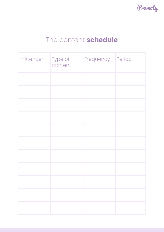

#### The content **schedule**

| Influencer Type of content | Frequency Period |  |
|----------------------------|------------------|--|
|                            |                  |  |
|                            |                  |  |
|                            |                  |  |
|                            |                  |  |
|                            |                  |  |
|                            |                  |  |
|                            |                  |  |
|                            |                  |  |
|                            |                  |  |
|                            |                  |  |
|                            |                  |  |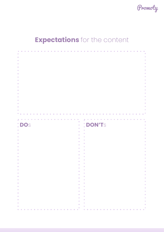

# **Expectations** for the content

| ×<br>m<br>I.<br>×<br>п                    | ×<br>ш                                                                 |
|-------------------------------------------|------------------------------------------------------------------------|
| П                                         |                                                                        |
| : DOS<br>I.                               | <b>DON'TS</b>                                                          |
|                                           |                                                                        |
|                                           |                                                                        |
| π                                         | п                                                                      |
|                                           |                                                                        |
|                                           |                                                                        |
|                                           |                                                                        |
|                                           |                                                                        |
|                                           |                                                                        |
|                                           |                                                                        |
|                                           |                                                                        |
|                                           |                                                                        |
|                                           |                                                                        |
|                                           |                                                                        |
|                                           |                                                                        |
|                                           |                                                                        |
|                                           |                                                                        |
|                                           |                                                                        |
| ٠                                         | ш                                                                      |
| ×                                         | <b>I</b>                                                               |
| <b>A</b><br>$\mathcal{L}_{\mathcal{A}}$   | <b>II</b><br>×                                                         |
| <b>COL</b><br>$\mathcal{L}_{\mathcal{A}}$ | <b>III</b><br>×                                                        |
| <b>A</b>                                  | <b>COL</b><br>×                                                        |
| $\mathcal{L}_{\mathcal{A}}$<br><b>COL</b> | <b>II</b>                                                              |
| $\mathcal{L}_{\mathcal{A}}$<br><b>COL</b> | <b>ST</b><br><b>III</b>                                                |
| $\mathcal{L}_{\mathcal{A}}$<br><b>COL</b> | ×<br><b>II</b>                                                         |
| $\mathcal{L}_{\mathcal{A}}$<br><b>A</b>   | ×<br><b>III</b>                                                        |
| $\mathcal{L}_{\mathcal{A}}$               | ×                                                                      |
| <b>COL</b><br>$\mathcal{L}$               | $\sim$<br><b>COL</b>                                                   |
| <b>ALC</b><br>$\mathcal{L}$<br><b>ALC</b> | $\mathcal{L}_{\mathcal{A}}$<br><b>A</b><br>$\mathcal{L}_{\mathcal{A}}$ |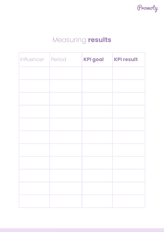Promoty

# Measuring **results**

| Influencer Period | KPI goal KPI result |  |
|-------------------|---------------------|--|
|                   |                     |  |
|                   |                     |  |
|                   |                     |  |
|                   |                     |  |
|                   |                     |  |
|                   |                     |  |
|                   |                     |  |
|                   |                     |  |
|                   |                     |  |
|                   |                     |  |
|                   |                     |  |